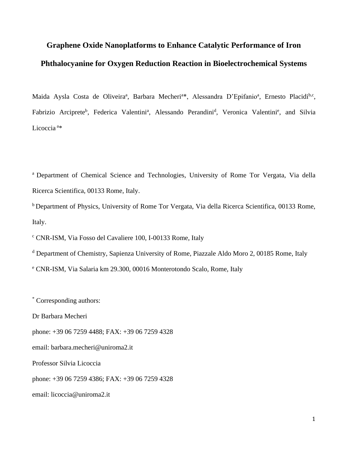# **Graphene Oxide Nanoplatforms to Enhance Catalytic Performance of Iron Phthalocyanine for Oxygen Reduction Reaction in Bioelectrochemical Systems**

Maida Aysla Costa de Oliveira<sup>a</sup>, Barbara Mecheri<sup>a\*</sup>, Alessandra D'Epifanio<sup>a</sup>, Ernesto Placidi<sup>b,c</sup>, Fabrizio Arciprete<sup>b</sup>, Federica Valentini<sup>a</sup>, Alessando Perandini<sup>d</sup>, Veronica Valentini<sup>e</sup>, and Silvia Licoccia <sup>a</sup>\*

<sup>a</sup> Department of Chemical Science and Technologies, University of Rome Tor Vergata, Via della Ricerca Scientifica, 00133 Rome, Italy.

<sup>b</sup> Department of Physics, University of Rome Tor Vergata, Via della Ricerca Scientifica, 00133 Rome, Italy.

<sup>c</sup> CNR-ISM, Via Fosso del Cavaliere 100, I-00133 Rome, Italy

<sup>d</sup> Department of Chemistry, Sapienza University of Rome, Piazzale Aldo Moro 2, 00185 Rome, Italy

<sup>e</sup> CNR-ISM, Via Salaria km 29.300, 00016 Monterotondo Scalo, Rome, Italy

\* Corresponding authors:

Dr Barbara Mecheri

phone: +39 06 7259 4488; FAX: +39 06 7259 4328

email: [barbara.mecheri@uniroma2.it](mailto:alessandra.d.epifanio@uniroma2.it)

Professor Silvia Licoccia

phone: +39 06 7259 4386; FAX: +39 06 7259 4328

email: [licoccia@uniroma2.it](mailto:licoccia@uniroma2.it)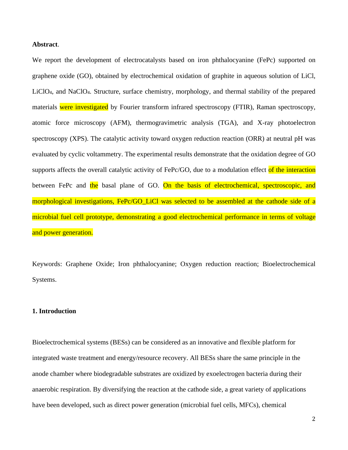## **Abstract**.

We report the development of electrocatalysts based on iron phthalocyanine (FePc) supported on graphene oxide (GO), obtained by electrochemical oxidation of graphite in aqueous solution of LiCl, LiClO4, and NaClO4. Structure, surface chemistry, morphology, and thermal stability of the prepared materials were investigated by Fourier transform infrared spectroscopy (FTIR), Raman spectroscopy, atomic force microscopy (AFM), thermogravimetric analysis (TGA), and X-ray photoelectron spectroscopy (XPS). The catalytic activity toward oxygen reduction reaction (ORR) at neutral pH was evaluated by cyclic voltammetry. The experimental results demonstrate that the oxidation degree of GO supports affects the overall catalytic activity of FePc/GO, due to a modulation effect of the interaction between FePc and the basal plane of GO. On the basis of electrochemical, spectroscopic, and morphological investigations, FePc/GO\_LiCl was selected to be assembled at the cathode side of a microbial fuel cell prototype, demonstrating a good electrochemical performance in terms of voltage and power generation.

Keywords: Graphene Oxide; Iron phthalocyanine; Oxygen reduction reaction; Bioelectrochemical Systems.

#### **1. Introduction**

Bioelectrochemical systems (BESs) can be considered as an innovative and flexible platform for integrated waste treatment and energy/resource recovery. All BESs share the same principle in the anode chamber where biodegradable substrates are oxidized by exoelectrogen bacteria during their anaerobic respiration. By diversifying the reaction at the cathode side, a great variety of applications have been developed, such as direct power generation (microbial fuel cells, MFCs), chemical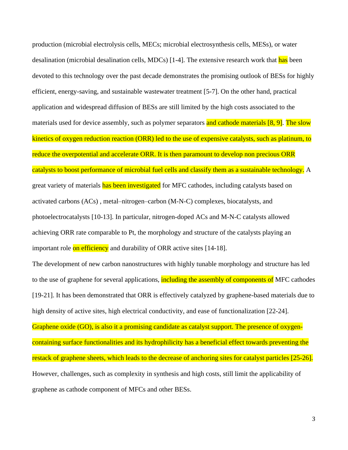production (microbial electrolysis cells, MECs; microbial electrosynthesis cells, MESs), or water desalination (microbial desalination cells, MDCs) [1-4]. The extensive research work that has been devoted to this technology over the past decade demonstrates the promising outlook of BESs for highly efficient, energy-saving, and sustainable wastewater treatment [5-7]. On the other hand, practical application and widespread diffusion of BESs are still limited by the high costs associated to the materials used for device assembly, such as polymer separators and cathode materials [8, 9]. The slow kinetics of oxygen reduction reaction (ORR) led to the use of expensive catalysts, such as platinum, to reduce the overpotential and accelerate ORR. It is then paramount to develop non precious ORR catalysts to boost performance of microbial fuel cells and classify them as a sustainable technology. A great variety of materials has been investigated for MFC cathodes, including catalysts based on activated carbons (ACs) , metal–nitrogen–carbon (M-N-C) complexes, biocatalysts, and photoelectrocatalysts [10-13]. In particular, nitrogen-doped ACs and M-N-C catalysts allowed achieving ORR rate comparable to Pt, the morphology and structure of the catalysts playing an important role on efficiency and durability of ORR active sites [14-18].

The development of new carbon nanostructures with highly tunable morphology and structure has led to the use of graphene for several applications, including the assembly of components of MFC cathodes [19-21]. It has been demonstrated that ORR is effectively catalyzed by graphene-based materials due to high density of active sites, high electrical conductivity, and ease of functionalization [22-24].

Graphene oxide (GO), is also it a promising candidate as catalyst support. The presence of oxygencontaining surface functionalities and its hydrophilicity has a beneficial effect towards preventing the restack of graphene sheets, which leads to the decrease of anchoring sites for catalyst particles [25-26]. However, challenges, such as complexity in synthesis and high costs, still limit the applicability of graphene as cathode component of MFCs and other BESs.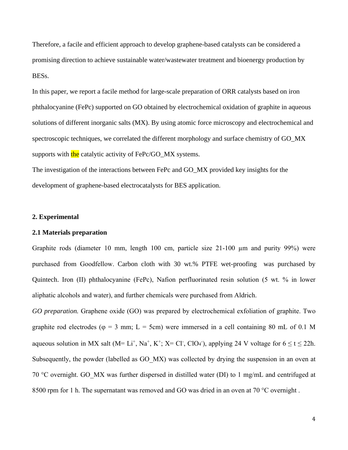Therefore, a facile and efficient approach to develop graphene-based catalysts can be considered a promising direction to achieve sustainable water/wastewater treatment and bioenergy production by BESs.

In this paper, we report a facile method for large-scale preparation of ORR catalysts based on iron phthalocyanine (FePc) supported on GO obtained by electrochemical oxidation of graphite in aqueous solutions of different inorganic salts (MX). By using atomic force microscopy and electrochemical and spectroscopic techniques, we correlated the different morphology and surface chemistry of GO\_MX supports with the catalytic activity of FePc/GO\_MX systems.

The investigation of the interactions between FePc and GO\_MX provided key insights for the development of graphene-based electrocatalysts for BES application.

### **2. Experimental**

#### **2.1 Materials preparation**

Graphite rods (diameter 10 mm, length 100 cm, particle size 21-100 µm and purity 99%) were purchased from Goodfellow. Carbon cloth with 30 wt.% PTFE wet-proofing was purchased by Quintech. Iron (II) phthalocyanine (FePc), Nafion perfluorinated resin solution (5 wt. % in lower aliphatic alcohols and water), and further chemicals were purchased from Aldrich.

*GO preparation.* Graphene oxide (GO) was prepared by electrochemical exfoliation of graphite. Two graphite rod electrodes ( $\varphi = 3$  mm; L = 5cm) were immersed in a cell containing 80 mL of 0.1 M aqueous solution in MX salt (M= Li<sup>+</sup>, Na<sup>+</sup>, K<sup>+</sup>; X= Cl<sup>-</sup>, ClO<sub>4</sub><sup>-</sup>), applying 24 V voltage for  $6 \le t \le 22h$ . Subsequently, the powder (labelled as GO\_MX) was collected by drying the suspension in an oven at 70 °C overnight. GO\_MX was further dispersed in distilled water (DI) to 1 mg/mL and centrifuged at 8500 rpm for 1 h. The supernatant was removed and GO was dried in an oven at 70 °C overnight.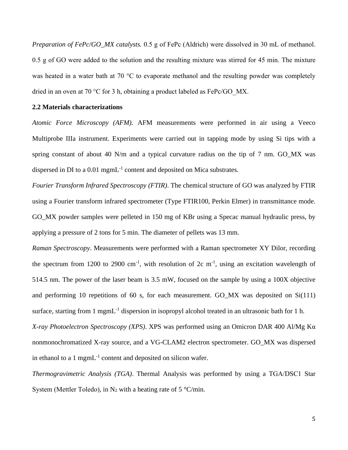*Preparation of FePc/GO\_MX catalysts.* 0.5 g of FePc (Aldrich) were dissolved in 30 mL of methanol. 0.5 g of GO were added to the solution and the resulting mixture was stirred for 45 min. The mixture was heated in a water bath at 70 °C to evaporate methanol and the resulting powder was completely dried in an oven at 70 °C for 3 h, obtaining a product labeled as FePc/GO\_MX.

## **2.2 Materials characterizations**

*Atomic Force Microscopy (AFM).* AFM measurements were performed in air using a Veeco Multiprobe IIIa instrument. Experiments were carried out in tapping mode by using Si tips with a spring constant of about 40 N/m and a typical curvature radius on the tip of 7 nm. GO MX was dispersed in DI to a 0.01 mgmL<sup>-1</sup> content and deposited on Mica substrates.

*Fourier Transform Infrared Spectroscopy (FTIR)*. The chemical structure of GO was analyzed by FTIR using a Fourier transform infrared spectrometer (Type FTIR100, Perkin Elmer) in transmittance mode. GO\_MX powder samples were pelleted in 150 mg of KBr using a Specac manual hydraulic press, by applying a pressure of 2 tons for 5 min. The diameter of pellets was 13 mm.

*Raman Spectroscopy*. Measurements were performed with a Raman spectrometer XY Dilor, recording the spectrum from 1200 to 2900 cm<sup>-1</sup>, with resolution of 2c m<sup>-1</sup>, using an excitation wavelength of 514.5 nm. The power of the laser beam is 3.5 mW, focused on the sample by using a 100X objective and performing 10 repetitions of 60 s, for each measurement. GO\_MX was deposited on Si(111) surface, starting from 1 mgmL<sup>-1</sup> dispersion in isopropyl alcohol treated in an ultrasonic bath for 1 h.

*X-ray Photoelectron Spectroscopy (XPS)*. XPS was performed using an Omicron DAR 400 Al/Mg Kα nonmonochromatized X-ray source, and a VG-CLAM2 electron spectrometer. GO\_MX was dispersed in ethanol to a 1 mgm $L^{-1}$  content and deposited on silicon wafer.

*Thermogravimetric Analysis (TGA)*. Thermal Analysis was performed by using a TGA/DSC1 Star System (Mettler Toledo), in N<sub>2</sub> with a heating rate of 5  $\degree$ C/min.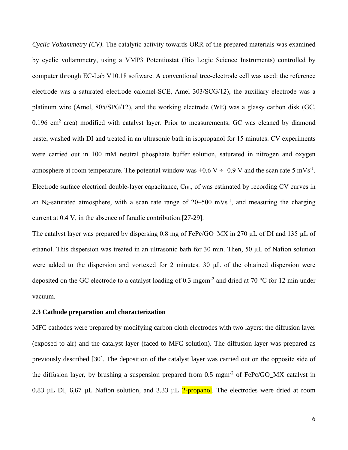*Cyclic Voltammetry (CV)*. The catalytic activity towards ORR of the prepared materials was examined by cyclic voltammetry, using a VMP3 Potentiostat (Bio Logic Science Instruments) controlled by computer through EC-Lab V10.18 software. A conventional tree-electrode cell was used: the reference electrode was a saturated electrode calomel-SCE, Amel 303/SCG/12), the auxiliary electrode was a platinum wire (Amel, 805/SPG/12), and the working electrode (WE) was a glassy carbon disk (GC,  $0.196$  cm<sup>2</sup> area) modified with catalyst layer. Prior to measurements, GC was cleaned by diamond paste, washed with DI and treated in an ultrasonic bath in isopropanol for 15 minutes. CV experiments were carried out in 100 mM neutral phosphate buffer solution, saturated in nitrogen and oxygen atmosphere at room temperature. The potential window was  $+0.6 \text{ V} \div -0.9 \text{ V}$  and the scan rate 5 mVs<sup>-1</sup>. Electrode surface electrical double-layer capacitance, C<sub>DL</sub>, of was estimated by recording CV curves in an N<sub>2</sub>-saturated atmosphere, with a scan rate range of  $20-500$  mVs<sup>-1</sup>, and measuring the charging current at 0.4 V, in the absence of faradic contribution.[27-29].

The catalyst layer was prepared by dispersing 0.8 mg of FePc/GO\_MX in 270  $\mu$ L of DI and 135  $\mu$ L of ethanol. This dispersion was treated in an ultrasonic bath for 30 min. Then, 50 µL of Nafion solution were added to the dispersion and vortexed for 2 minutes. 30  $\mu$ L of the obtained dispersion were deposited on the GC electrode to a catalyst loading of 0.3 mgcm<sup>-2</sup> and dried at 70 °C for 12 min under vacuum.

#### **2.3 Cathode preparation and characterization**

MFC cathodes were prepared by modifying carbon cloth electrodes with two layers: the diffusion layer (exposed to air) and the catalyst layer (faced to MFC solution). The diffusion layer was prepared as previously described [30]. The deposition of the catalyst layer was carried out on the opposite side of the diffusion layer, by brushing a suspension prepared from  $0.5 \text{ mm}^2$  of FePc/GO\_MX catalyst in 0.83 µL DI, 6,67 µL Nafion solution, and 3.33 µL 2-propanol. The electrodes were dried at room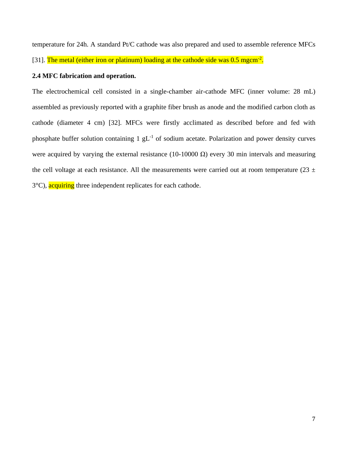temperature for 24h. A standard Pt/C cathode was also prepared and used to assemble reference MFCs

[31]. The metal (either iron or platinum) loading at the cathode side was 0.5 mgcm<sup>-2</sup>.

### **2.4 MFC fabrication and operation.**

The electrochemical cell consisted in a single-chamber air-cathode MFC (inner volume: 28 mL) assembled as previously reported with a graphite fiber brush as anode and the modified carbon cloth as cathode (diameter 4 cm) [32]. MFCs were firstly acclimated as described before and fed with phosphate buffer solution containing  $1 \text{ gL}^{-1}$  of sodium acetate. Polarization and power density curves were acquired by varying the external resistance (10-10000  $\Omega$ ) every 30 min intervals and measuring the cell voltage at each resistance. All the measurements were carried out at room temperature (23  $\pm$ ) 3<sup>°</sup>C), acquiring three independent replicates for each cathode.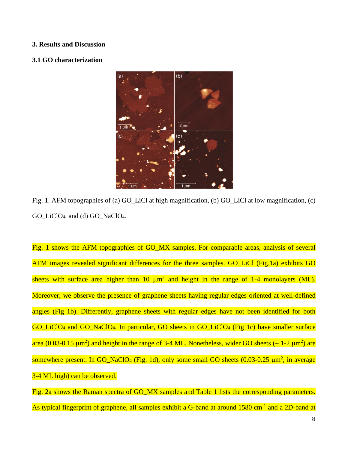#### **3. Results and Discussion**

#### **3.1 GO characterization**



Fig. 1. AFM topographies of (a) GO\_LiCl at high magnification, (b) GO\_LiCl at low magnification, (c) GO\_LiClO4, and (d) GO\_NaClO4.

Fig. 1 shows the AFM topographies of GO\_MX samples. For comparable areas, analysis of several AFM images revealed significant differences for the three samples. GO LiCl (Fig.1a) exhibits GO sheets with surface area higher than 10  $\mu$ m<sup>2</sup> and height in the range of 1-4 monolayers (ML). Moreover, we observe the presence of graphene sheets having regular edges oriented at well-defined angles (Fig 1b). Differently, graphene sheets with regular edges have not been identified for both GO\_LiClO<sup>4</sup> and GO\_NaClO4. In particular, GO sheets in GO\_LiClO<sup>4</sup> (Fig 1c) have smaller surface area (0.03-0.15  $\mu$ m<sup>2</sup>) and height in the range of 3-4 ML. Nonetheless, wider GO sheets ( $\sim$  1-2  $\mu$ m<sup>2</sup>) are somewhere present. In GO\_NaClO<sub>4</sub> (Fig. 1d), only some small GO sheets  $(0.03-0.25 \mu m^2)$ , in average 3-4 ML high) can be observed.

Fig. 2a shows the Raman spectra of GO\_MX samples and Table 1 lists the corresponding parameters. As typical fingerprint of graphene, all samples exhibit a G-band at around 1580 cm<sup>-1</sup> and a 2D-band at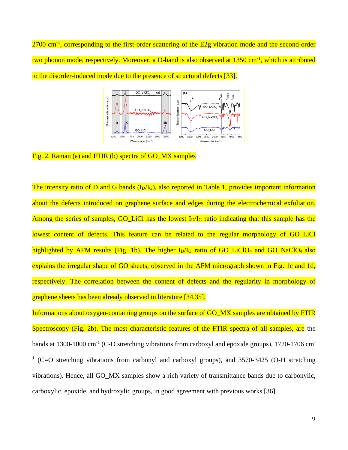$2700$  cm<sup>-1</sup>, corresponding to the first-order scattering of the E2g vibration mode and the second-order two phonon mode, respectively. Moreover, a D-band is also observed at 1350 cm<sup>-1</sup>, which is attributed to the disorder-induced mode due to the presence of structural defects [33].



Fig. 2. Raman (a) and FTIR (b) spectra of GO MX samples

The intensity ratio of D and G bands  $(I_D/I_G)$ , also reported in Table 1, provides important information about the defects introduced on graphene surface and edges during the electrochemical exfoliation. Among the series of samples, GO\_LiCl has the lowest I<sub>D</sub>/I<sub>G</sub> ratio indicating that this sample has the lowest content of defects. This feature can be related to the regular morphology of GO\_LiCl highlighted by AFM results (Fig. 1b). The higher  $I_D/I_G$  ratio of GO\_LiClO<sub>4</sub> and GO\_NaClO<sub>4</sub> also explains the irregular shape of GO sheets, observed in the AFM micrograph shown in Fig. 1c and 1d, respectively. The correlation between the content of defects and the regularity in morphology of graphene sheets has been already observed in literature [34,35].

Informations about oxygen-containing groups on the surface of GO\_MX samples are obtained by FTIR Spectroscopy (Fig. 2b). The most characteristic features of the FTIR spectra of all samples, are the bands at 1300-1000 cm<sup>-1</sup> (C-O stretching vibrations from carboxyl and epoxide groups), 1720-1706 cm<sup>-</sup> <sup>1</sup> (C=O stretching vibrations from carbonyl and carboxyl groups), and 3570-3425 (O-H stretching vibrations). Hence, all GO\_MX samples show a rich variety of transmittance bands due to carbonylic, carboxylic, epoxide, and hydroxylic groups, in good agreement with previous works [36].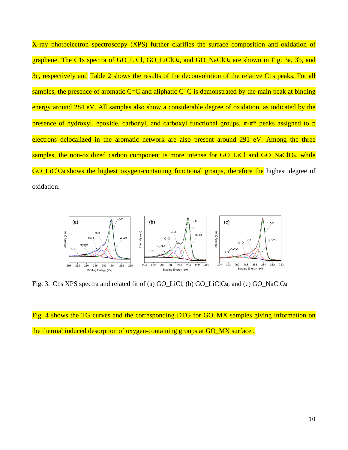X-ray photoelectron spectroscopy (XPS) further clarifies the surface composition and oxidation of graphene. The C1s spectra of GO\_LiCl, GO\_LiClO<sub>4</sub>, and GO\_NaClO<sub>4</sub> are shown in Fig. 3a, 3b, and 3c, respectively and Table 2 shows the results of the deconvolution of the relative C1s peaks. For all samples, the presence of aromatic  $C=C$  and aliphatic  $C-C$  is demonstrated by the main peak at binding energy around 284 eV. All samples also show a considerable degree of oxidation, as indicated by the presence of hydroxyl, epoxide, carbonyl, and carboxyl functional groups.  $\pi$ - $\pi$ <sup>\*</sup> peaks assigned to  $\pi$ electrons delocalized in the aromatic network are also present around 291 eV. Among the three samples, the non-oxidized carbon component is more intense for GO\_LiCl and GO\_NaClO<sub>4</sub>, while GO LiClO<sub>4</sub> shows the highest oxygen-containing functional groups, therefore the highest degree of oxidation.



Fig. 3. C1s XPS spectra and related fit of (a) GO\_LiCl, (b) GO\_LiClO4, and (c) GO\_NaClO4.

Fig. 4 shows the TG curves and the corresponding DTG for GO MX samples giving information on the thermal induced desorption of oxygen-containing groups at GO\_MX surface .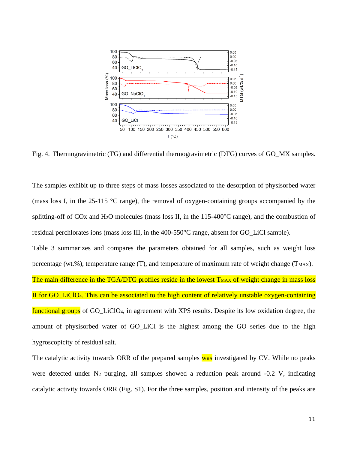

Fig. 4. Thermogravimetric (TG) and differential thermogravimetric (DTG) curves of GO\_MX samples.

The samples exhibit up to three steps of mass losses associated to the desorption of physisorbed water (mass loss I, in the 25-115 °C range), the removal of oxygen-containing groups accompanied by the splitting-off of COx and H<sub>2</sub>O molecules (mass loss II, in the 115-400 $\degree$ C range), and the combustion of residual perchlorates ions (mass loss III, in the 400-550°C range, absent for GO\_LiCl sample).

Table 3 summarizes and compares the parameters obtained for all samples, such as weight loss percentage (wt.%), temperature range (T), and temperature of maximum rate of weight change ( $T_{MAX}$ ).

The main difference in the TGA/DTG profiles reside in the lowest T<sub>MAX</sub> of weight change in mass loss II for GO\_LiClO4. This can be associated to the high content of relatively unstable oxygen-containing functional groups of GO\_LiClO4, in agreement with XPS results. Despite its low oxidation degree, the amount of physisorbed water of GO\_LiCl is the highest among the GO series due to the high hygroscopicity of residual salt.

The catalytic activity towards ORR of the prepared samples was investigated by CV. While no peaks were detected under N<sub>2</sub> purging, all samples showed a reduction peak around -0.2 V, indicating catalytic activity towards ORR (Fig. S1). For the three samples, position and intensity of the peaks are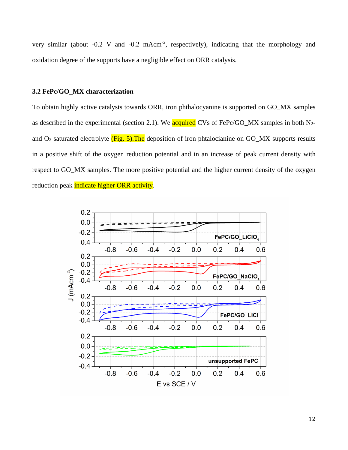very similar (about  $-0.2$  V and  $-0.2$  mAcm<sup>-2</sup>, respectively), indicating that the morphology and oxidation degree of the supports have a negligible effect on ORR catalysis.

### **3.2 FePc/GO\_MX characterization**

To obtain highly active catalysts towards ORR, iron phthalocyanine is supported on GO\_MX samples as described in the experimental (section 2.1). We **acquired** CVs of FePc/GO\_MX samples in both N<sub>2</sub>and  $O_2$  saturated electrolyte (Fig. 5). The deposition of iron phtalocianine on GO\_MX supports results in a positive shift of the oxygen reduction potential and in an increase of peak current density with respect to GO\_MX samples. The more positive potential and the higher current density of the oxygen reduction peak indicate higher ORR activity.

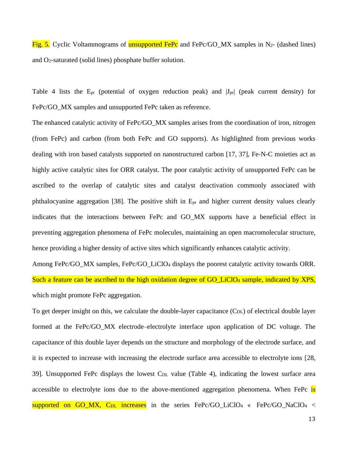Fig. 5. Cyclic Voltammograms of **unsupported FePc** and FePc/GO MX samples in N<sub>2</sub>- (dashed lines) and O2-saturated (solid lines) phosphate buffer solution.

Table 4 lists the  $E_{pr}$  (potential of oxygen reduction peak) and  $|J_{pr}|$  (peak current density) for FePc/GO\_MX samples and unsupported FePc taken as reference.

The enhanced catalytic activity of FePc/GO\_MX samples arises from the coordination of iron, nitrogen (from FePc) and carbon (from both FePc and GO supports). As highlighted from previous works dealing with iron based catalysts supported on nanostructured carbon [17, 37], Fe-N-C moieties act as highly active catalytic sites for ORR catalyst. The poor catalytic activity of unsupported FePc can be ascribed to the overlap of catalytic sites and catalyst deactivation commonly associated with phthalocyanine aggregation [38]. The positive shift in Epr and higher current density values clearly indicates that the interactions between FePc and GO\_MX supports have a beneficial effect in preventing aggregation phenomena of FePc molecules, maintaining an open macromolecular structure, hence providing a higher density of active sites which significantly enhances catalytic activity.

Among FePc/GO\_MX samples, FePc/GO\_LiClO<sup>4</sup> displays the poorest catalytic activity towards ORR. Such a feature can be ascribed to the high oxidation degree of GO\_LiClO4 sample, indicated by XPS, which might promote FePc aggregation.

To get deeper insight on this, we calculate the double-layer capacitance (C<sub>DL</sub>) of electrical double layer formed at the FePc/GO\_MX electrode–electrolyte interface upon application of DC voltage. The capacitance of this double layer depends on the structure and morphology of the electrode surface, and it is expected to increase with increasing the electrode surface area accessible to electrolyte ions [28, 39]. Unsupported FePc displays the lowest  $C_{DL}$  value (Table 4), indicating the lowest surface area accessible to electrolyte ions due to the above-mentioned aggregation phenomena. When FePc is supported on GO\_MX, C<sub>DL</sub> increases in the series FePc/GO\_LiClO<sub>4</sub> « FePc/GO\_NaClO<sub>4</sub> <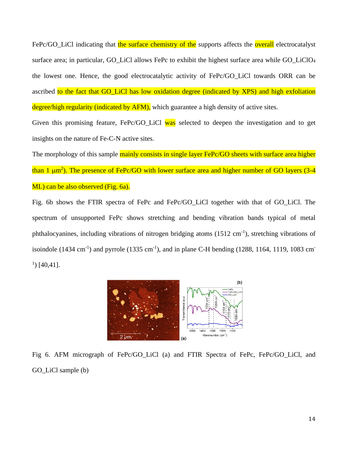FePc/GO\_LiCl indicating that the surface chemistry of the supports affects the overall electrocatalyst surface area; in particular, GO\_LiCl allows FePc to exhibit the highest surface area while GO\_LiClO<sub>4</sub> the lowest one. Hence, the good electrocatalytic activity of FePc/GO\_LiCl towards ORR can be ascribed to the fact that GO\_LiCl has low oxidation degree (indicated by XPS) and high exfoliation degree/high regularity (indicated by AFM), which guarantee a high density of active sites.

Given this promising feature, FePc/GO\_LiCl was selected to deepen the investigation and to get insights on the nature of Fe-C-N active sites.

The morphology of this sample mainly consists in single layer FePc/GO sheets with surface area higher than 1  $\mu$ m<sup>2</sup>). The presence of FePc/GO with lower surface area and higher number of GO layers (3-4 ML) can be also observed (Fig. 6a).

Fig. 6b shows the FTIR spectra of FePc and FePc/GO\_LiCl together with that of GO\_LiCl. The spectrum of unsupported FePc shows stretching and bending vibration bands typical of metal phthalocyanines, including vibrations of nitrogen bridging atoms (1512 cm<sup>-1</sup>), stretching vibrations of isoindole  $(1434 \text{ cm}^{-1})$  and pyrrole  $(1335 \text{ cm}^{-1})$ , and in plane C-H bending  $(1288, 1164, 1119, 1083 \text{ cm}^{-1})$  $\,$ <sup>1</sup> $)$  [40,41].



Fig 6. AFM micrograph of FePc/GO\_LiCl (a) and FTIR Spectra of FePc, FePc/GO\_LiCl, and GO LiCl sample (b)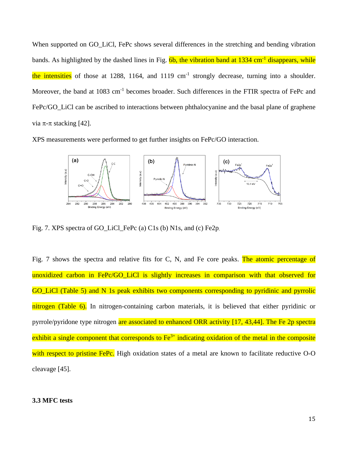When supported on GO\_LiCl, FePc shows several differences in the stretching and bending vibration bands. As highlighted by the dashed lines in Fig.  $6b$ , the vibration band at 1334 cm<sup>-1</sup> disappears, while the intensities of those at 1288, 1164, and 1119 cm<sup>-1</sup> strongly decrease, turning into a shoulder. Moreover, the band at 1083 cm<sup>-1</sup> becomes broader. Such differences in the FTIR spectra of FePc and FePc/GO\_LiCl can be ascribed to interactions between phthalocyanine and the basal plane of graphene via  $\pi$ - $\pi$  stacking [42].

XPS measurements were performed to get further insights on FePc/GO interaction.



Fig. 7. XPS spectra of GO\_LiCl\_FePc (a) C1s (b) N1s, and (c) Fe2p.

Fig. 7 shows the spectra and relative fits for C, N, and Fe core peaks. The atomic percentage of unoxidized carbon in FePc/GO\_LiCl is slightly increases in comparison with that observed for GO\_LiCl (Table 5) and N 1s peak exhibits two components corresponding to pyridinic and pyrrolic nitrogen (Table 6). In nitrogen-containing carbon materials, it is believed that either pyridinic or pyrrole/pyridone type nitrogen are associated to enhanced ORR activity [17, 43,44]. The Fe 2p spectra exhibit a single component that corresponds to  $Fe<sup>3+</sup>$  indicating oxidation of the metal in the composite with respect to pristine FePc. High oxidation states of a metal are known to facilitate reductive O-O cleavage [45].

#### **3.3 MFC tests**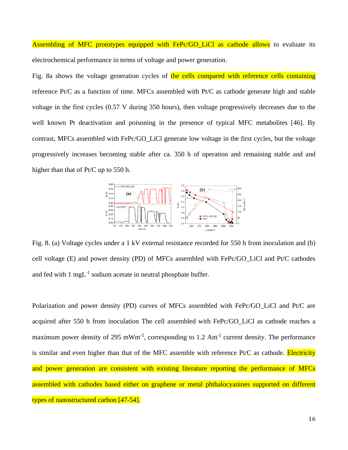Assembling of MFC prototypes equipped with FePc/GO LiCl as cathode allows to evaluate its electrochemical performance in terms of voltage and power generation.

Fig. 8a shows the voltage generation cycles of the cells compared with reference cells containing reference Pt/C as a function of time. MFCs assembled with Pt/C as cathode generate high and stable voltage in the first cycles (0.57 V during 350 hours), then voltage progressively decreases due to the well known Pt deactivation and poisoning in the presence of typical MFC metabolites [46]. By contrast, MFCs assembled with FePc/GO\_LiCl generate low voltage in the first cycles, but the voltage progressively increases becoming stable after ca. 350 h of operation and remaining stable and and higher than that of Pt/C up to 550 h.



Fig. 8. (a) Voltage cycles under a 1 kV external resistance recorded for 550 h from inoculation and (b) cell voltage (E) and power density (PD) of MFCs assembled with FePc/GO\_LiCl and Pt/C cathodes and fed with  $1 \text{ mgL}^{-1}$  sodium acetate in neutral phosphate buffer.

Polarization and power density (PD) curves of MFCs assembled with FePc/GO\_LiCl and Pt/C are acquired after 550 h from inoculation The cell assembled with FePc/GO\_LiCl as cathode reaches a maximum power density of 295 mWm<sup>-2</sup>, corresponding to 1.2 Am<sup>-2</sup> current density. The performance is similar and even higher than that of the MFC assemble with reference  $Pt/C$  as cathode. Electricity and power generation are consistent with existing literature reporting the performance of MFCs assembled with cathodes based either on graphene or metal phthalocyanines supported on different types of nanostructured carbon [47-54].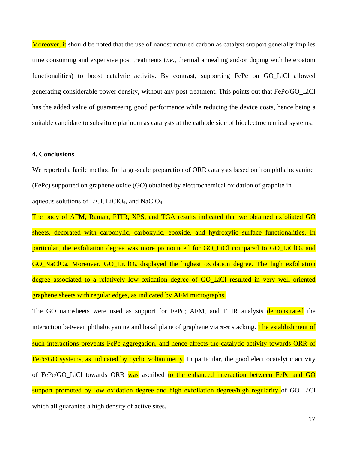Moreover, it should be noted that the use of nanostructured carbon as catalyst support generally implies time consuming and expensive post treatments (*i.e.,* thermal annealing and/or doping with heteroatom functionalities) to boost catalytic activity. By contrast, supporting FePc on GO\_LiCl allowed generating considerable power density, without any post treatment. This points out that FePc/GO\_LiCl has the added value of guaranteeing good performance while reducing the device costs, hence being a suitable candidate to substitute platinum as catalysts at the cathode side of bioelectrochemical systems.

## **4. Conclusions**

We reported a facile method for large-scale preparation of ORR catalysts based on iron phthalocyanine (FePc) supported on graphene oxide (GO) obtained by electrochemical oxidation of graphite in aqueous solutions of LiCl, LiClO4, and NaClO4.

The body of AFM, Raman, FTIR, XPS, and TGA results indicated that we obtained exfoliated GO sheets, decorated with carbonylic, carboxylic, epoxide, and hydroxylic surface functionalities. In particular, the exfoliation degree was more pronounced for GO\_LiCl compared to GO\_LiClO<sub>4</sub> and GO\_NaClO4. Moreover, GO\_LiClO<sup>4</sup> displayed the highest oxidation degree. The high exfoliation degree associated to a relatively low oxidation degree of GO\_LiCl resulted in very well oriented graphene sheets with regular edges, as indicated by AFM micrographs.

The GO nanosheets were used as support for FePc; AFM, and FTIR analysis demonstrated the interaction between phthalocyanine and basal plane of graphene via  $\pi$ - $\pi$  stacking. The establishment of such interactions prevents FePc aggregation, and hence affects the catalytic activity towards ORR of FePc/GO systems, as indicated by cyclic voltammetry. In particular, the good electrocatalytic activity of FePc/GO\_LiCl towards ORR was ascribed to the enhanced interaction between FePc and GO support promoted by low oxidation degree and high exfoliation degree/high regularity of GO\_LiCl which all guarantee a high density of active sites.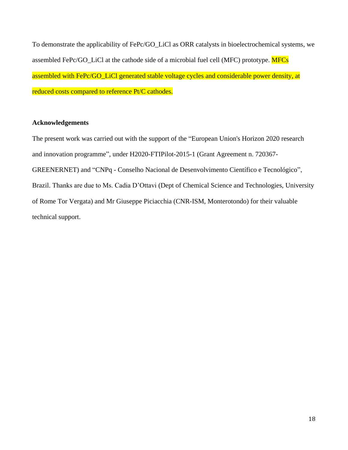To demonstrate the applicability of FePc/GO\_LiCl as ORR catalysts in bioelectrochemical systems, we assembled FePc/GO\_LiCl at the cathode side of a microbial fuel cell (MFC) prototype. MFCs assembled with FePc/GO\_LiCl generated stable voltage cycles and considerable power density, at reduced costs compared to reference Pt/C cathodes.

## **Acknowledgements**

The present work was carried out with the support of the "European Union's Horizon 2020 research and innovation programme", under H2020-FTIPilot-2015-1 (Grant Agreement n. 720367- GREENERNET) and "CNPq - Conselho Nacional de Desenvolvimento Científico e Tecnológico", Brazil. Thanks are due to Ms. Cadia D'Ottavi (Dept of Chemical Science and Technologies, University of Rome Tor Vergata) and Mr Giuseppe Piciacchia (CNR-ISM, Monterotondo) for their valuable technical support.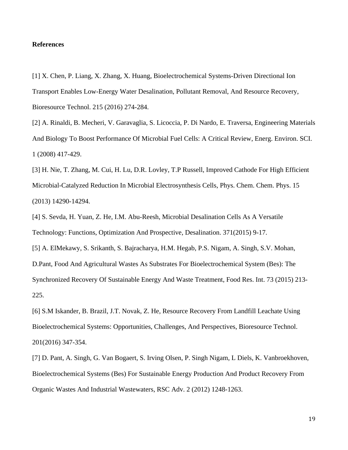## **References**

[1] X. Chen, P. Liang, X. Zhang, X. Huang, Bioelectrochemical Systems-Driven Directional Ion Transport Enables Low-Energy Water Desalination, Pollutant Removal, And Resource Recovery, Bioresource Technol. 215 (2016) 274-284.

[2] A. Rinaldi, B. Mecheri, V. Garavaglia, S. Licoccia, P. Di Nardo, E. Traversa, Engineering Materials And Biology To Boost Performance Of Microbial Fuel Cells: A Critical Review, Energ. Environ. SCI. 1 (2008) 417-429.

[3] H. Nie, T. Zhang, M. Cui, H. Lu, D.R. Lovley, T.P Russell, Improved Cathode For High Efficient Microbial-Catalyzed Reduction In Microbial Electrosynthesis Cells, Phys. Chem. Chem. Phys. 15 (2013) 14290-14294.

[4] S. Sevda, H. Yuan, Z. He, I.M. Abu-Reesh, Microbial Desalination Cells As A Versatile Technology: Functions, Optimization And Prospective, Desalination. 371(2015) 9-17.

[5] A. ElMekawy, S. Srikanth, S. Bajracharya, H.M. Hegab, P.S. Nigam, A. Singh, S.V. Mohan, D.Pant, Food And Agricultural Wastes As Substrates For Bioelectrochemical System (Bes): The Synchronized Recovery Of Sustainable Energy And Waste Treatment, Food Res. Int. 73 (2015) 213- 225.

[6] S.M Iskander, B. Brazil, J.T. Novak, Z. He, Resource Recovery From Landfill Leachate Using Bioelectrochemical Systems: Opportunities, Challenges, And Perspectives, Bioresource Technol. 201(2016) 347-354.

[7] D. Pant, A. Singh, G. Van Bogaert, S. Irving Olsen, P. Singh Nigam, L Diels, K. Vanbroekhoven, Bioelectrochemical Systems (Bes) For Sustainable Energy Production And Product Recovery From Organic Wastes And Industrial Wastewaters, RSC Adv. 2 (2012) 1248-1263.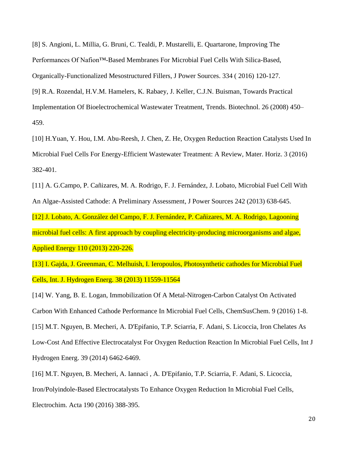[8] S. Angioni, L. Millia, G. Bruni, C. Tealdi, P. Mustarelli, E. Quartarone, Improving The Performances Of Nafion™-Based Membranes For Microbial Fuel Cells With Silica-Based, Organically-Functionalized Mesostructured Fillers, J Power Sources. 334 ( 2016) 120-127.

[9] R.A. Rozendal, H.V.M. Hamelers, K. Rabaey, J. Keller, C.J.N. Buisman, Towards Practical Implementation Of Bioelectrochemical Wastewater Treatment, Trends. Biotechnol. 26 (2008) 450– 459.

[10] H.Yuan, Y. Hou, I.M. Abu-Reesh, J. Chen, Z. He, Oxygen Reduction Reaction Catalysts Used In Microbial Fuel Cells For Energy-Efficient Wastewater Treatment: A Review, Mater. Horiz. 3 (2016) 382-401.

[11] A. G.Campo, P. Cañizares, M. A. Rodrigo, F. J. Fernández, J. Lobato, Microbial Fuel Cell With An Algae-Assisted Cathode: A Preliminary Assessment, J Power Sources 242 (2013) 638-645.

[12] J. Lobato, A. González del Campo, F. J. Fernández, P. Cañizares, M. A. Rodrigo, Lagooning microbial fuel cells: A first approach by coupling electricity-producing microorganisms and algae, Applied Energy 110 (2013) 220-226.

[13] I. Gajda, J. Greenman, C. Melhuish, I. Ieropoulos, Photosynthetic cathodes for Microbial Fuel Cells, Int. J. Hydrogen Energ. 38 (2013) 11559-11564

[14] W. Yang, B. E. Logan, Immobilization Of A Metal-Nitrogen-Carbon Catalyst On Activated Carbon With Enhanced Cathode Performance In Microbial Fuel Cells, ChemSusChem. 9 (2016) 1-8. [15] M.T. Nguyen, B. Mecheri, A. D'Epifanio, T.P. Sciarria, F. Adani, S. Licoccia, Iron Chelates As Low-Cost And Effective Electrocatalyst For Oxygen Reduction Reaction In Microbial Fuel Cells, Int J Hydrogen Energ. 39 (2014) 6462-6469.

[16] M.T. Nguyen, B. Mecheri, A. Iannaci , A. D'Epifanio, T.P. Sciarria, F. Adani, S. Licoccia, Iron/Polyindole-Based Electrocatalysts To Enhance Oxygen Reduction In Microbial Fuel Cells, Electrochim. Acta 190 (2016) 388-395.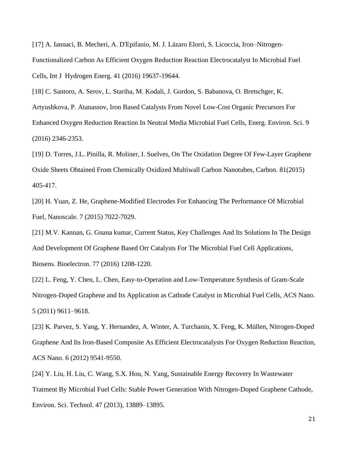[17] A. Iannaci, B. Mecheri, A. D'Epifanio, M. J. Lázaro Elorri, S. Licoccia, Iron–Nitrogen-Functionalized Carbon As Efficient Oxygen Reduction Reaction Electrocatalyst In Microbial Fuel Cells, Int J Hydrogen Energ. 41 (2016) 19637-19644.

[18] C. Santoro, A. Serov, L. Stariha, M. Kodali, J. Gordon, S. Babanova, O. Bretschger, K. Artyushkova, P. Atanassov, Iron Based Catalysts From Novel Low-Cost Organic Precursors For Enhanced Oxygen Reduction Reaction In Neutral Media Microbial Fuel Cells, Energ. Environ. Sci. 9 (2016) 2346-2353.

[19] D. Torres, J.L. Pinilla, R. Moliner, I. Suelves, On The Oxidation Degree Of Few-Layer Graphene Oxide Sheets Obtained From Chemically Oxidized Multiwall Carbon Nanotubes, Carbon. 81(2015) 405-417.

[20] H. Yuan, Z. He, Graphene-Modified Electrodes For Enhancing The Performance Of Microbial Fuel, Nanoscale. 7 (2015) 7022-7029.

[21] M.V. Kannan, G. Gnana kumar, Current Status, Key Challenges And Its Solutions In The Design And Development Of Graphene Based Orr Catalysts For The Microbial Fuel Cell Applications, Biosens. Bioelectron. 77 (2016) 1208-1220.

[22] L. Feng, Y. Chen, L. Chen, Easy-to-Operation and Low-Temperature Synthesis of Gram-Scale Nitrogen-Doped Graphene and Its Application as Cathode Catalyst in Microbial Fuel Cells, ACS Nano. 5 (2011) 9611–9618.

[23] K. Parvez, S. Yang, Y. Hernandez, A. Winter, A. Turchanin, X. Feng, K. Müllen, Nitrogen-Doped Graphene And Its Iron-Based Composite As Efficient Electrocatalysts For Oxygen Reduction Reaction, ACS Nano. 6 (2012) 9541-9550.

[24] Y. Liu, H. Liu, C. Wang, S.X. Hou, N. Yang, Sustainable Energy Recovery In Wastewater Tratment By Microbial Fuel Cells: Stable Power Generation With Nitrogen-Doped Graphene Cathode, Environ. Sci. Technol. 47 (2013), 13889–13895.

21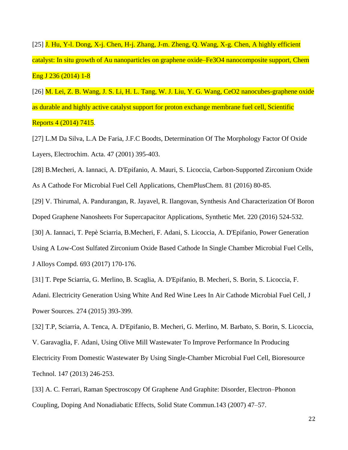[25] J. Hu, Y-l. Dong, X-j. Chen, H-j. Zhang, J-m. Zheng, Q. Wang, X-g. Chen, A highly efficient catalyst: In situ growth of Au nanoparticles on graphene oxide–Fe3O4 nanocomposite support, Chem Eng J 236 (2014) 1-8

[26] M. Lei, Z. B. Wang, J. S. Li, H. L. Tang, W. J. Liu, Y. G. Wang, CeO2 nanocubes-graphene oxide as durable and highly active catalyst support for proton exchange membrane fuel cell, Scientific Reports 4 (2014) 7415.

[27] L.M Da Silva, L.A De Faria, J.F.C Boodts, Determination Of The Morphology Factor Of Oxide Layers, Electrochim. Acta. 47 (2001) 395-403.

[28] B.Mecheri, A. Iannaci, A. D'Epifanio, A. Mauri, S. Licoccia, Carbon-Supported Zirconium Oxide

As A Cathode For Microbial Fuel Cell Applications, ChemPlusChem. 81 (2016) 80-85.

[29] V. Thirumal, A. Pandurangan, R. Jayavel, R. Ilangovan, Synthesis And Characterization Of Boron Doped Graphene Nanosheets For Supercapacitor Applications, Synthetic Met. 220 (2016) 524-532.

[30] A. Iannaci, T. Pepè Sciarria, B.Mecheri, F. Adani, S. Licoccia, A. D'Epifanio, Power Generation

Using A Low-Cost Sulfated Zirconium Oxide Based Cathode In Single Chamber Microbial Fuel Cells, J Alloys Compd. 693 (2017) 170-176.

[31] T. Pepe Sciarria, G. Merlino, B. Scaglia, A. D'Epifanio, B. Mecheri, S. Borin, S. Licoccia, F. Adani. Electricity Generation Using White And Red Wine Lees In Air Cathode Microbial Fuel Cell, J Power Sources. 274 (2015) 393-399.

[32] T.P, Sciarria, A. Tenca, A. D'Epifanio, B. Mecheri, G. Merlino, M. Barbato, S. Borin, S. Licoccia, V. Garavaglia, F. Adani, Using Olive Mill Wastewater To Improve Performance In Producing Electricity From Domestic Wastewater By Using Single-Chamber Microbial Fuel Cell, Bioresource Technol. 147 (2013) 246-253.

[33] A. C. Ferrari, Raman Spectroscopy Of Graphene And Graphite: Disorder, Electron–Phonon Coupling, Doping And Nonadiabatic Effects, Solid State Commun.143 (2007) 47–57.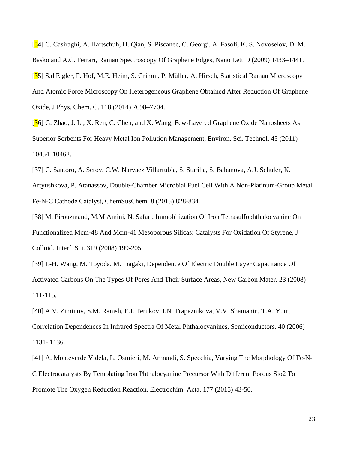[34] C. Casiraghi, A. Hartschuh, H. Qian, S. Piscanec, C. Georgi, A. Fasoli, K. S. Novoselov, D. M. Basko and A.C. Ferrari, Raman Spectroscopy Of Graphene Edges, Nano Lett. 9 (2009) 1433–1441. [35] S.d Eigler, F. Hof, M.E. Heim, S. Grimm, P. Müller, A. Hirsch, Statistical Raman Microscopy And Atomic Force Microscopy On Heterogeneous Graphene Obtained After Reduction Of Graphene Oxide, J Phys. Chem. C. 118 (2014) 7698–7704.

[36] G. Zhao, J. Li, X. Ren, C. Chen, and X. Wang, Few-Layered Graphene Oxide Nanosheets As Superior Sorbents For Heavy Metal Ion Pollution Management, Environ. Sci. Technol. 45 (2011) 10454–10462.

[37] C. Santoro, A. Serov, C.W. Narvaez Villarrubia, S. Stariha, S. Babanova, A.J. Schuler, K. Artyushkova, P. Atanassov, Double-Chamber Microbial Fuel Cell With A Non-Platinum-Group Metal Fe-N-C Cathode Catalyst, ChemSusChem. 8 (2015) 828-834.

[38] M. Pirouzmand, M.M Amini, N. Safari, Immobilization Of Iron Tetrasulfophthalocyanine On Functionalized Mcm-48 And Mcm-41 Mesoporous Silicas: Catalysts For Oxidation Of Styrene, J Colloid. Interf. Sci. 319 (2008) 199-205.

[39] L-H. Wang, M. Toyoda, M. Inagaki, Dependence Of Electric Double Layer Capacitance Of Activated Carbons On The Types Of Pores And Their Surface Areas, New Carbon Mater. 23 (2008) 111-115.

[40] A.V. Ziminov, S.M. Ramsh, E.I. Terukov, I.N. Trapeznikova, V.V. Shamanin, T.A. Yurr, Correlation Dependences In Infrared Spectra Of Metal Phthalocyanines, Semiconductors. 40 (2006) 1131- 1136.

[41] A. Monteverde Videla, L. Osmieri, M. Armandi, S. Specchia, Varying The Morphology Of Fe-N-C Electrocatalysts By Templating Iron Phthalocyanine Precursor With Different Porous Sio2 To Promote The Oxygen Reduction Reaction, Electrochim. Acta. 177 (2015) 43-50.

23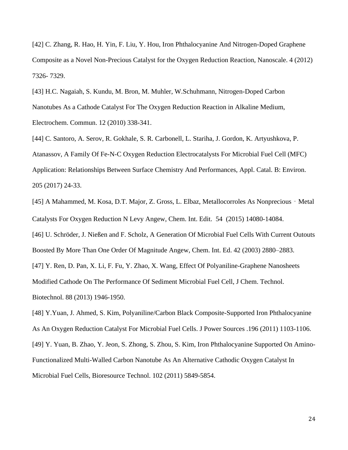[42] C. Zhang, R. Hao, H. Yin, F. Liu, Y. Hou, Iron Phthalocyanine And Nitrogen-Doped Graphene Composite as a Novel Non-Precious Catalyst for the Oxygen Reduction Reaction, Nanoscale. 4 (2012) 7326- 7329.

[43] H.C. Nagaiah, S. Kundu, M. Bron, M. Muhler, W.Schuhmann, Nitrogen-Doped Carbon Nanotubes As a Cathode Catalyst For The Oxygen Reduction Reaction in Alkaline Medium, Electrochem. Commun. 12 (2010) 338-341.

[44] C. Santoro, A. Serov, R. Gokhale, S. R. Carbonell, L. Stariha, J. Gordon, K. Artyushkova, P. Atanassov, A Family Of Fe-N-C Oxygen Reduction Electrocatalysts For Microbial Fuel Cell (MFC) Application: Relationships Between Surface Chemistry And Performances, Appl. Catal. B: Environ. 205 (2017) 24-33.

[45] A Mahammed, M. Kosa, D.T. Major, Z. Gross, L. Elbaz, Metallocorroles As Nonprecious - Metal Catalysts For Oxygen Reduction N Levy Angew, Chem. Int. Edit. 54 (2015) 14080-14084.

[46] U. Schröder, J. Nießen and F. Scholz, A Generation Of Microbial Fuel Cells With Current Outouts Boosted By More Than One Order Of Magnitude Angew, Chem. Int. Ed. 42 (2003) 2880–2883.

[47] Y. Ren, D. Pan, X. Li, F. Fu, Y. Zhao, X. Wang, Effect Of Polyaniline-Graphene Nanosheets

Modified Cathode On The Performance Of Sediment Microbial Fuel Cell, J Chem. Technol.

Biotechnol. 88 (2013) 1946-1950.

[48] Y.Yuan, J. Ahmed, S. Kim, Polyaniline/Carbon Black Composite-Supported Iron Phthalocyanine As An Oxygen Reduction Catalyst For Microbial Fuel Cells. J Power Sources .196 (2011) 1103-1106. [49] Y. Yuan, B. Zhao, Y. Jeon, S. Zhong, S. Zhou, S. Kim, Iron Phthalocyanine Supported On Amino-Functionalized Multi-Walled Carbon Nanotube As An Alternative Cathodic Oxygen Catalyst In Microbial Fuel Cells, Bioresource Technol. 102 (2011) 5849-5854.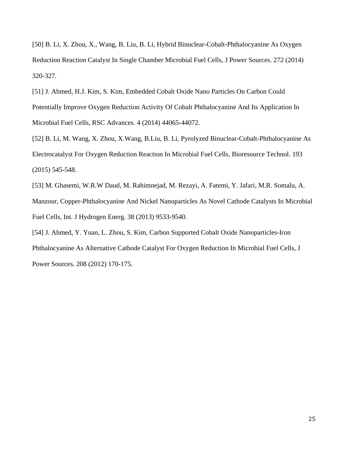[50] B. Li, X. Zhou, X., Wang, B. Liu, B. Li, Hybrid Binuclear-Cobalt-Phthalocyanine As Oxygen Reduction Reaction Catalyst In Single Chamber Microbial Fuel Cells, J Power Sources. 272 (2014) 320-327.

[51] J. Ahmed, H.J. Kim, S. Kim, Embedded Cobalt Oxide Nano Particles On Carbon Could Potentially Improve Oxygen Reduction Activity Of Cobalt Phthalocyanine And Its Application In Microbial Fuel Cells, RSC Advances. 4 (2014) 44065-44072.

[52] B. Li, M. Wang, X. Zhou, X.Wang, B.Liu, B. Li, Pyrolyzed Binuclear-Cobalt-Phthalocyanine As Electrocatalyst For Oxygen Reduction Reaction In Microbial Fuel Cells, Bioresource Technol. 193 (2015) 545-548.

[53] M. Ghasemi, W.R.W Daud, M. Rahimnejad, M. Rezayi, A. Fatemi, Y. Jafari, M.R. Somalu, A. Manzour, Copper-Phthalocyanine And Nickel Nanoparticles As Novel Cathode Catalysts In Microbial Fuel Cells, Int. J Hydrogen Energ. 38 (2013) 9533-9540.

[54] J. Ahmed, Y. Yuan, L. Zhou, S. Kim, Carbon Supported Cobalt Oxide Nanoparticles-Iron Phthalocyanine As Alternative Cathode Catalyst For Oxygen Reduction In Microbial Fuel Cells, J Power Sources. 208 (2012) 170-175.